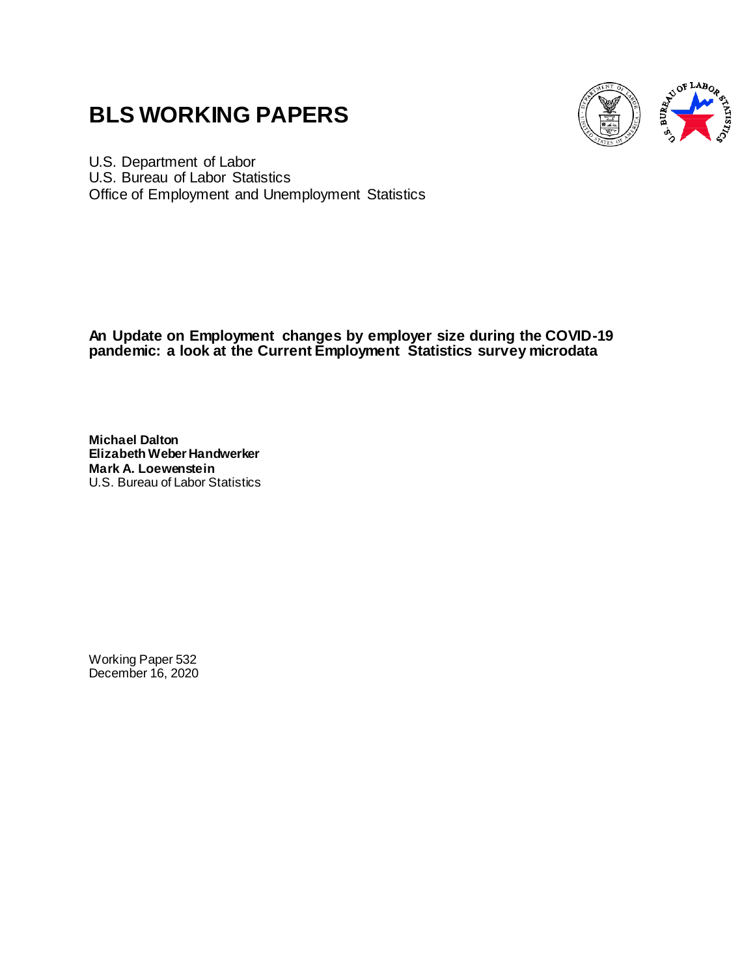# **BLS WORKING PAPERS**



U.S. Department of Labor U.S. Bureau of Labor Statistics Office of Employment and Unemployment Statistics

**An Update on Employment changes by employer size during the COVID-19 pandemic: a look at the Current Employment Statistics survey microdata**

**Michael Dalton Elizabeth Weber Handwerker Mark A. Loewenstein** U.S. Bureau of Labor Statistics

Working Paper 532 December 16, 2020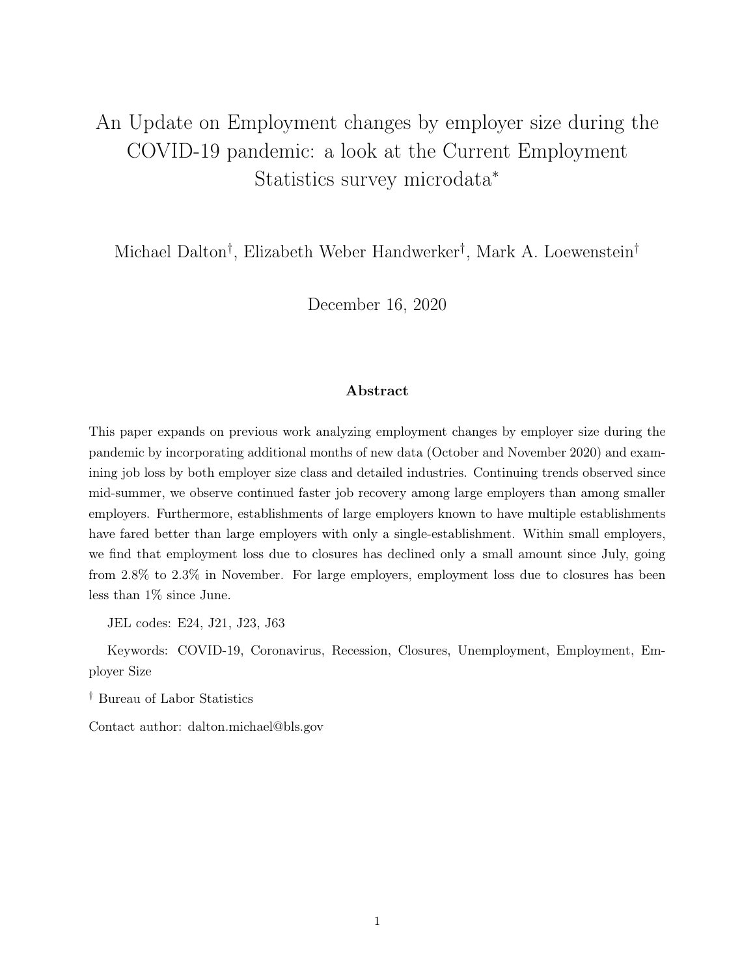## An Update on Employment changes by employer size during the COVID-19 pandemic: a look at the Current Employment Statistics survey microdata<sup>∗</sup>

Michael Dalton† , Elizabeth Weber Handwerker† , Mark A. Loewenstein†

December 16, 2020

#### Abstract

This paper expands on previous work analyzing employment changes by employer size during the pandemic by incorporating additional months of new data (October and November 2020) and examining job loss by both employer size class and detailed industries. Continuing trends observed since mid-summer, we observe continued faster job recovery among large employers than among smaller employers. Furthermore, establishments of large employers known to have multiple establishments have fared better than large employers with only a single-establishment. Within small employers, we find that employment loss due to closures has declined only a small amount since July, going from 2.8% to 2.3% in November. For large employers, employment loss due to closures has been less than 1% since June.

JEL codes: E24, J21, J23, J63

Keywords: COVID-19, Coronavirus, Recession, Closures, Unemployment, Employment, Employer Size

† Bureau of Labor Statistics

Contact author: dalton.michael@bls.gov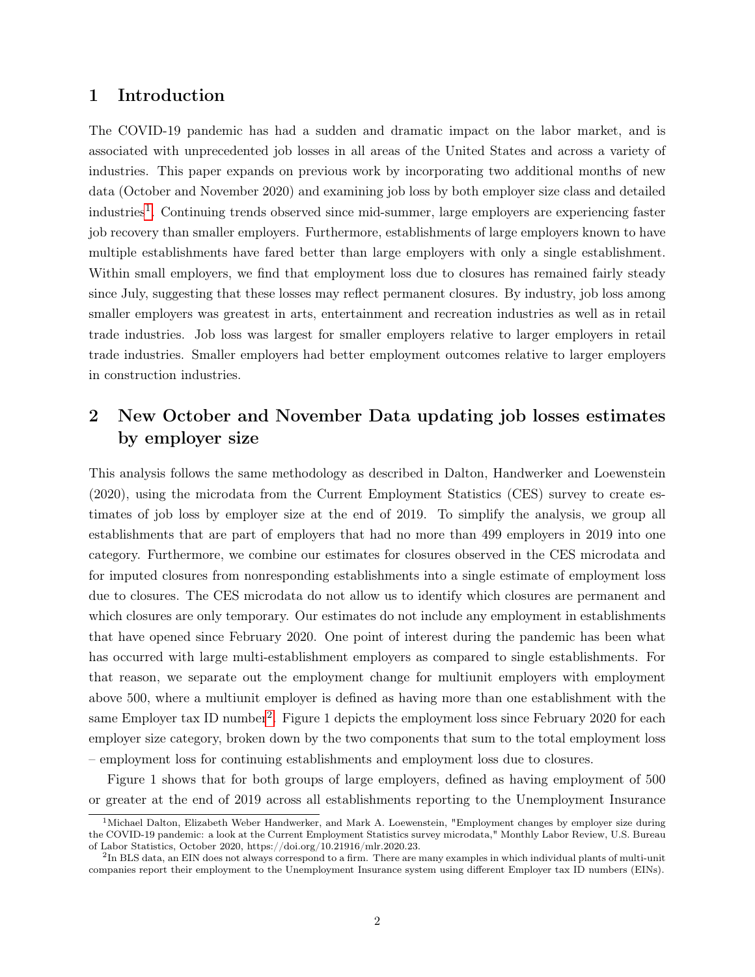#### 1 Introduction

The COVID-19 pandemic has had a sudden and dramatic impact on the labor market, and is associated with unprecedented job losses in all areas of the United States and across a variety of industries. This paper expands on previous work by incorporating two additional months of new data (October and November 2020) and examining job loss by both employer size class and detailed industries<sup>[1](#page-2-0)</sup>. Continuing trends observed since mid-summer, large employers are experiencing faster job recovery than smaller employers. Furthermore, establishments of large employers known to have multiple establishments have fared better than large employers with only a single establishment. Within small employers, we find that employment loss due to closures has remained fairly steady since July, suggesting that these losses may reflect permanent closures. By industry, job loss among smaller employers was greatest in arts, entertainment and recreation industries as well as in retail trade industries. Job loss was largest for smaller employers relative to larger employers in retail trade industries. Smaller employers had better employment outcomes relative to larger employers in construction industries.

## 2 New October and November Data updating job losses estimates by employer size

This analysis follows the same methodology as described in Dalton, Handwerker and Loewenstein (2020), using the microdata from the Current Employment Statistics (CES) survey to create estimates of job loss by employer size at the end of 2019. To simplify the analysis, we group all establishments that are part of employers that had no more than 499 employers in 2019 into one category. Furthermore, we combine our estimates for closures observed in the CES microdata and for imputed closures from nonresponding establishments into a single estimate of employment loss due to closures. The CES microdata do not allow us to identify which closures are permanent and which closures are only temporary. Our estimates do not include any employment in establishments that have opened since February 2020. One point of interest during the pandemic has been what has occurred with large multi-establishment employers as compared to single establishments. For that reason, we separate out the employment change for multiunit employers with employment above 500, where a multiunit employer is defined as having more than one establishment with the same Employer tax ID number<sup>[2](#page-2-1)</sup>. Figure 1 depicts the employment loss since February 2020 for each employer size category, broken down by the two components that sum to the total employment loss – employment loss for continuing establishments and employment loss due to closures.

Figure 1 shows that for both groups of large employers, defined as having employment of 500 or greater at the end of 2019 across all establishments reporting to the Unemployment Insurance

<span id="page-2-0"></span> $1$ Michael Dalton, Elizabeth Weber Handwerker, and Mark A. Loewenstein, "Employment changes by employer size during the COVID-19 pandemic: a look at the Current Employment Statistics survey microdata," Monthly Labor Review, U.S. Bureau of Labor Statistics, October 2020, https://doi.org/10.21916/mlr.2020.23.

<span id="page-2-1"></span> $^{2}$ In BLS data, an EIN does not always correspond to a firm. There are many examples in which individual plants of multi-unit companies report their employment to the Unemployment Insurance system using different Employer tax ID numbers (EINs).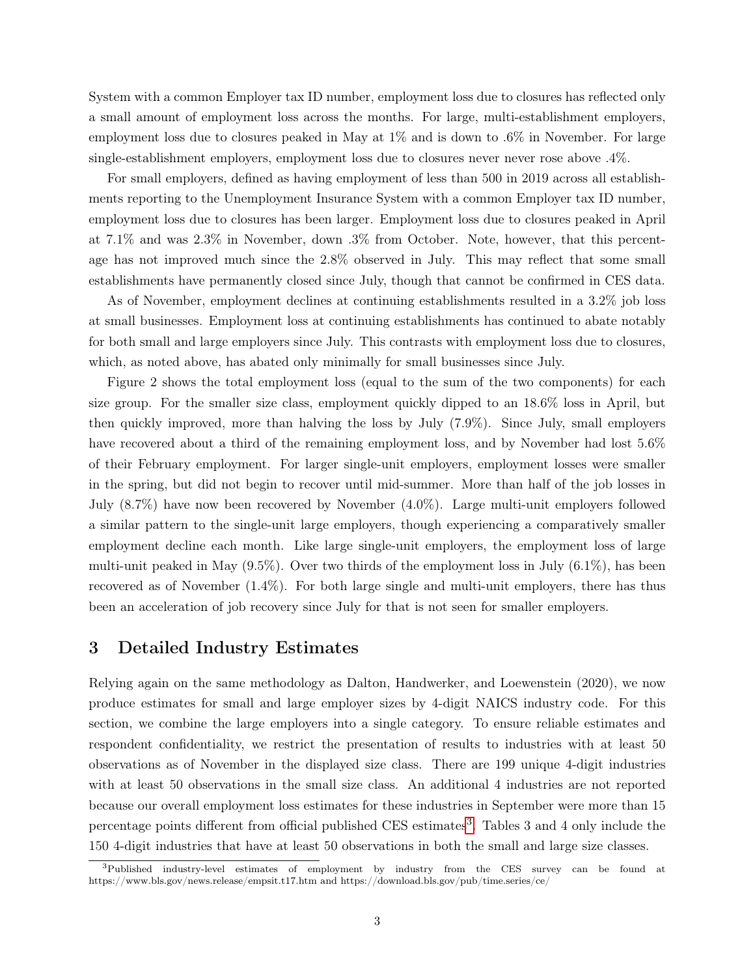System with a common Employer tax ID number, employment loss due to closures has reflected only a small amount of employment loss across the months. For large, multi-establishment employers, employment loss due to closures peaked in May at 1% and is down to .6% in November. For large single-establishment employers, employment loss due to closures never never rose above .4%.

For small employers, defined as having employment of less than 500 in 2019 across all establishments reporting to the Unemployment Insurance System with a common Employer tax ID number, employment loss due to closures has been larger. Employment loss due to closures peaked in April at 7.1% and was 2.3% in November, down .3% from October. Note, however, that this percentage has not improved much since the 2.8% observed in July. This may reflect that some small establishments have permanently closed since July, though that cannot be confirmed in CES data.

As of November, employment declines at continuing establishments resulted in a 3.2% job loss at small businesses. Employment loss at continuing establishments has continued to abate notably for both small and large employers since July. This contrasts with employment loss due to closures, which, as noted above, has abated only minimally for small businesses since July.

Figure 2 shows the total employment loss (equal to the sum of the two components) for each size group. For the smaller size class, employment quickly dipped to an 18.6% loss in April, but then quickly improved, more than halving the loss by July (7.9%). Since July, small employers have recovered about a third of the remaining employment loss, and by November had lost 5.6% of their February employment. For larger single-unit employers, employment losses were smaller in the spring, but did not begin to recover until mid-summer. More than half of the job losses in July (8.7%) have now been recovered by November (4.0%). Large multi-unit employers followed a similar pattern to the single-unit large employers, though experiencing a comparatively smaller employment decline each month. Like large single-unit employers, the employment loss of large multi-unit peaked in May  $(9.5\%)$ . Over two thirds of the employment loss in July  $(6.1\%)$ , has been recovered as of November (1.4%). For both large single and multi-unit employers, there has thus been an acceleration of job recovery since July for that is not seen for smaller employers.

#### 3 Detailed Industry Estimates

Relying again on the same methodology as Dalton, Handwerker, and Loewenstein (2020), we now produce estimates for small and large employer sizes by 4-digit NAICS industry code. For this section, we combine the large employers into a single category. To ensure reliable estimates and respondent confidentiality, we restrict the presentation of results to industries with at least 50 observations as of November in the displayed size class. There are 199 unique 4-digit industries with at least 50 observations in the small size class. An additional 4 industries are not reported because our overall employment loss estimates for these industries in September were more than 15 percentage points different from official published CES estimates<sup>[3](#page-3-0)</sup>. Tables 3 and 4 only include the 150 4-digit industries that have at least 50 observations in both the small and large size classes.

<span id="page-3-0"></span><sup>&</sup>lt;sup>3</sup>Published industry-level estimates of employment by industry from the CES survey can be found at https://www.bls.gov/news.release/empsit.t17.htm and https://download.bls.gov/pub/time.series/ce/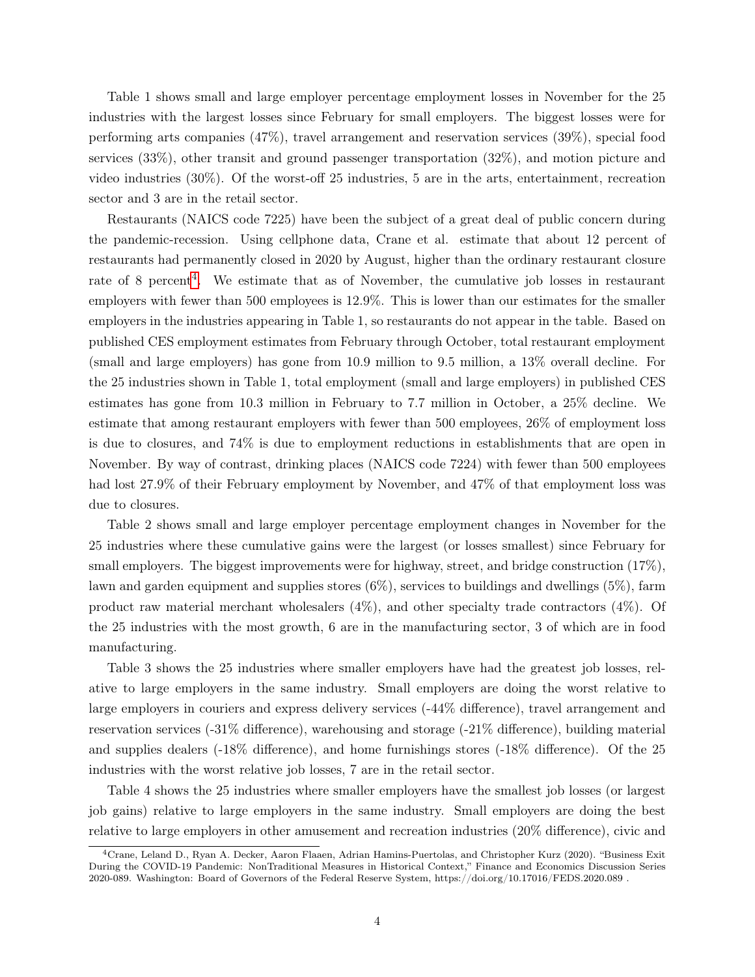Table 1 shows small and large employer percentage employment losses in November for the 25 industries with the largest losses since February for small employers. The biggest losses were for performing arts companies (47%), travel arrangement and reservation services (39%), special food services (33%), other transit and ground passenger transportation (32%), and motion picture and video industries (30%). Of the worst-off 25 industries, 5 are in the arts, entertainment, recreation sector and 3 are in the retail sector.

Restaurants (NAICS code 7225) have been the subject of a great deal of public concern during the pandemic-recession. Using cellphone data, Crane et al. estimate that about 12 percent of restaurants had permanently closed in 2020 by August, higher than the ordinary restaurant closure rate of 8 percent<sup>[4](#page-4-0)</sup>. We estimate that as of November, the cumulative job losses in restaurant employers with fewer than 500 employees is 12.9%. This is lower than our estimates for the smaller employers in the industries appearing in Table 1, so restaurants do not appear in the table. Based on published CES employment estimates from February through October, total restaurant employment (small and large employers) has gone from 10.9 million to 9.5 million, a 13% overall decline. For the 25 industries shown in Table 1, total employment (small and large employers) in published CES estimates has gone from 10.3 million in February to 7.7 million in October, a 25% decline. We estimate that among restaurant employers with fewer than 500 employees, 26% of employment loss is due to closures, and 74% is due to employment reductions in establishments that are open in November. By way of contrast, drinking places (NAICS code 7224) with fewer than 500 employees had lost 27.9% of their February employment by November, and 47% of that employment loss was due to closures.

Table 2 shows small and large employer percentage employment changes in November for the 25 industries where these cumulative gains were the largest (or losses smallest) since February for small employers. The biggest improvements were for highway, street, and bridge construction (17%), lawn and garden equipment and supplies stores  $(6\%)$ , services to buildings and dwellings  $(5\%)$ , farm product raw material merchant wholesalers  $(4\%)$ , and other specialty trade contractors  $(4\%)$ . Of the 25 industries with the most growth, 6 are in the manufacturing sector, 3 of which are in food manufacturing.

Table 3 shows the 25 industries where smaller employers have had the greatest job losses, relative to large employers in the same industry. Small employers are doing the worst relative to large employers in couriers and express delivery services (-44% difference), travel arrangement and reservation services (-31% difference), warehousing and storage (-21% difference), building material and supplies dealers (-18% difference), and home furnishings stores (-18% difference). Of the 25 industries with the worst relative job losses, 7 are in the retail sector.

Table 4 shows the 25 industries where smaller employers have the smallest job losses (or largest job gains) relative to large employers in the same industry. Small employers are doing the best relative to large employers in other amusement and recreation industries (20% difference), civic and

<span id="page-4-0"></span><sup>4</sup>Crane, Leland D., Ryan A. Decker, Aaron Flaaen, Adrian Hamins-Puertolas, and Christopher Kurz (2020). "Business Exit During the COVID-19 Pandemic: NonTraditional Measures in Historical Context," Finance and Economics Discussion Series 2020-089. Washington: Board of Governors of the Federal Reserve System, https://doi.org/10.17016/FEDS.2020.089 .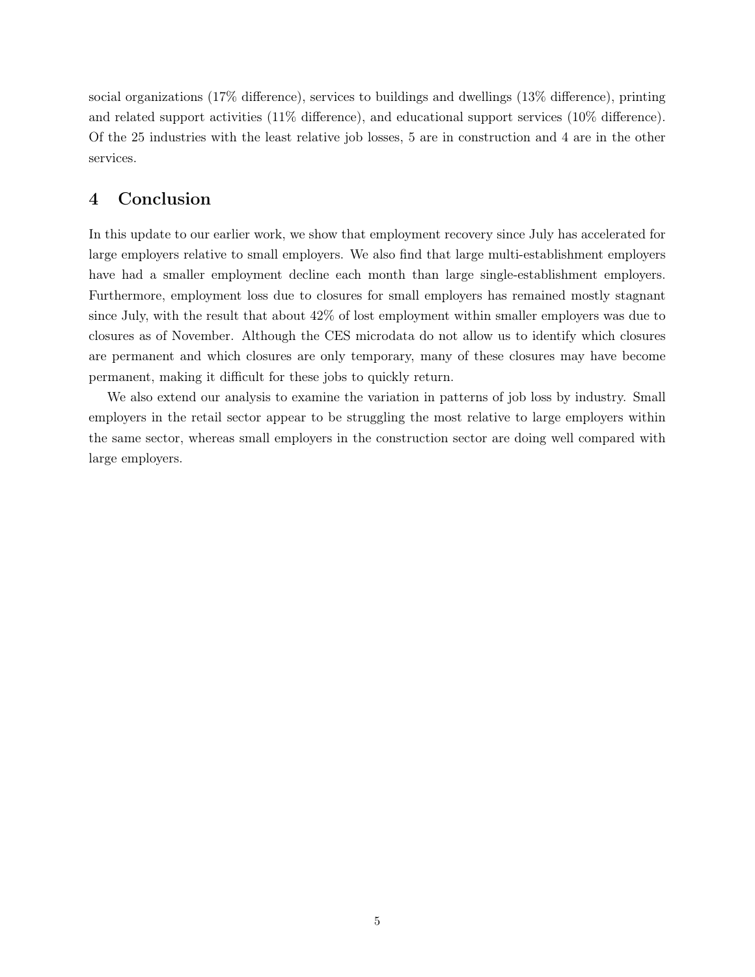social organizations (17% difference), services to buildings and dwellings (13% difference), printing and related support activities (11% difference), and educational support services (10% difference). Of the 25 industries with the least relative job losses, 5 are in construction and 4 are in the other services.

### 4 Conclusion

In this update to our earlier work, we show that employment recovery since July has accelerated for large employers relative to small employers. We also find that large multi-establishment employers have had a smaller employment decline each month than large single-establishment employers. Furthermore, employment loss due to closures for small employers has remained mostly stagnant since July, with the result that about 42% of lost employment within smaller employers was due to closures as of November. Although the CES microdata do not allow us to identify which closures are permanent and which closures are only temporary, many of these closures may have become permanent, making it difficult for these jobs to quickly return.

We also extend our analysis to examine the variation in patterns of job loss by industry. Small employers in the retail sector appear to be struggling the most relative to large employers within the same sector, whereas small employers in the construction sector are doing well compared with large employers.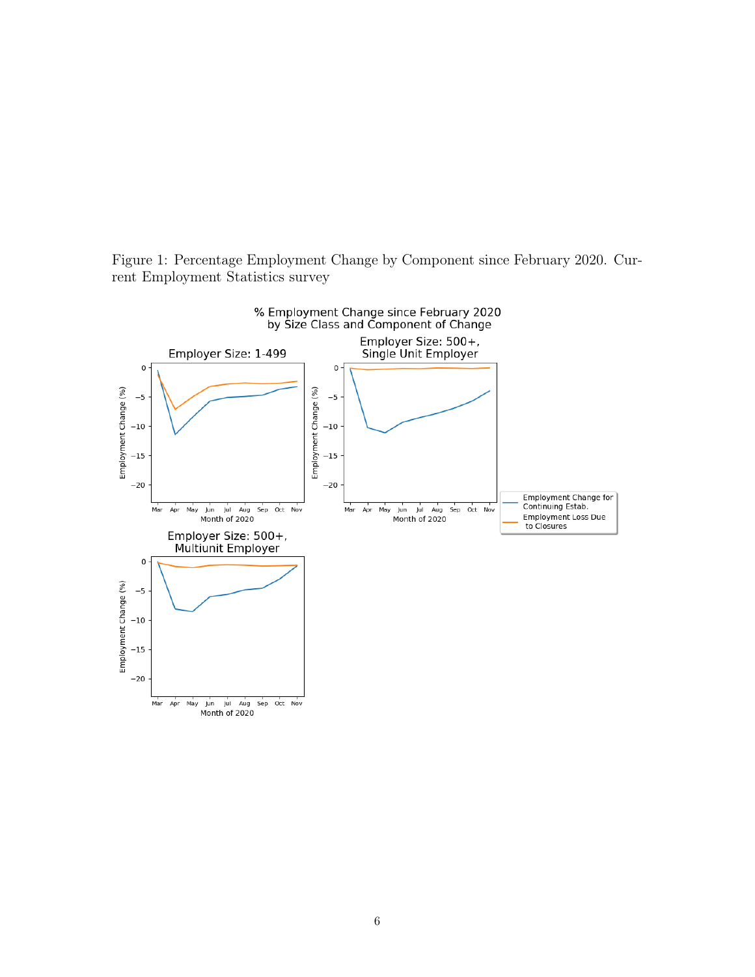Figure 1: Percentage Employment Change by Component since February 2020. Current Employment Statistics survey

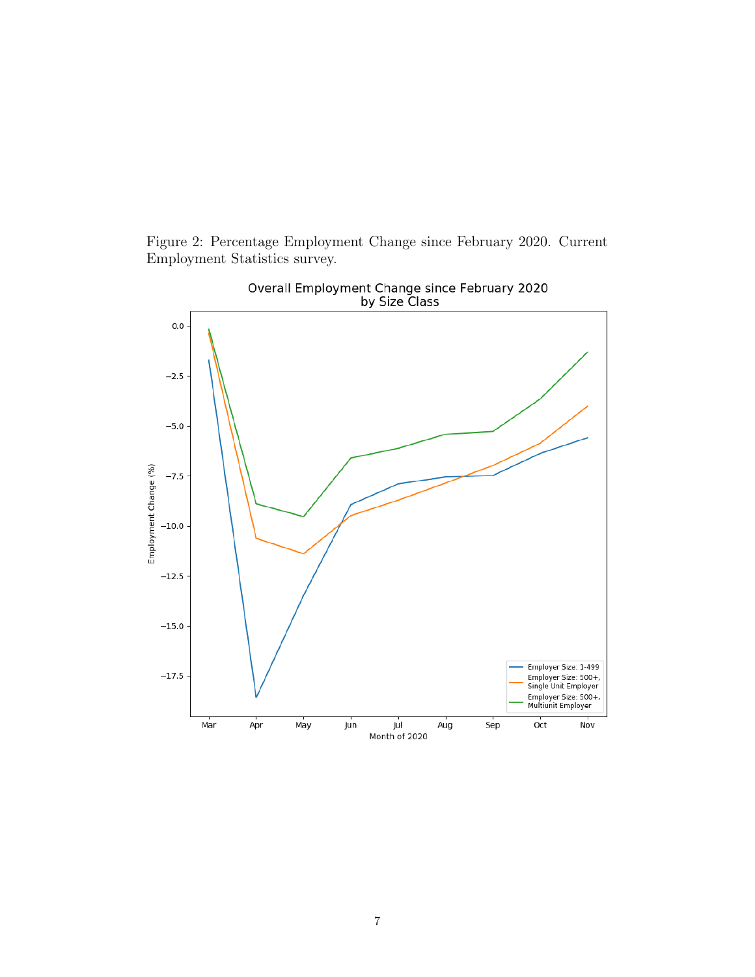Figure 2: Percentage Employment Change since February 2020. Current Employment Statistics survey.

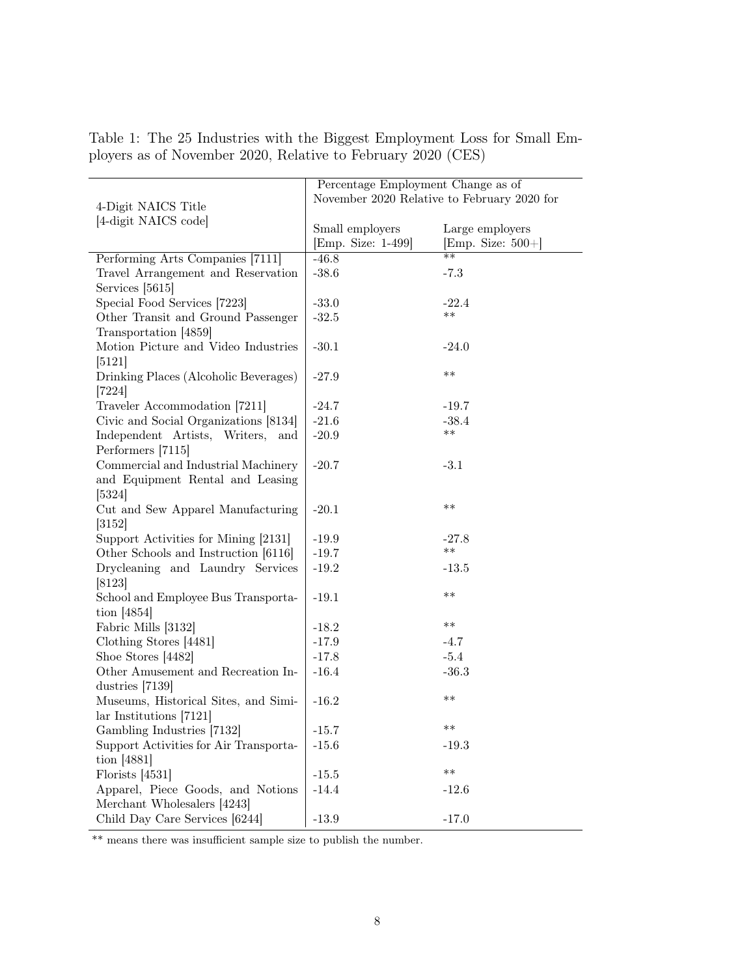|                                        | Percentage Employment Change as of          |                      |  |  |  |
|----------------------------------------|---------------------------------------------|----------------------|--|--|--|
|                                        | November 2020 Relative to February 2020 for |                      |  |  |  |
| 4-Digit NAICS Title                    |                                             |                      |  |  |  |
| [4-digit NAICS code]                   | Small employers                             | Large employers      |  |  |  |
|                                        | [Emp. Size: 1-499]                          | [Emp. Size: $500+$ ] |  |  |  |
| Performing Arts Companies [7111]       | $-46.8$                                     | $**$                 |  |  |  |
| Travel Arrangement and Reservation     | $-38.6$                                     | $-7.3$               |  |  |  |
| Services [5615]                        |                                             |                      |  |  |  |
| Special Food Services [7223]           | $-33.0$                                     | $-22.4$              |  |  |  |
| Other Transit and Ground Passenger     | $-32.5$                                     | $***$                |  |  |  |
| Transportation [4859]                  |                                             |                      |  |  |  |
| Motion Picture and Video Industries    | $-30.1$                                     | $-24.0$              |  |  |  |
| [5121]                                 |                                             |                      |  |  |  |
| Drinking Places (Alcoholic Beverages)  | $-27.9$                                     | $***$                |  |  |  |
| $[7224]$                               |                                             |                      |  |  |  |
| Traveler Accommodation [7211]          | $-24.7$                                     | $-19.7$              |  |  |  |
| Civic and Social Organizations [8134]  | $-21.6$                                     | $-38.4$              |  |  |  |
| Independent Artists, Writers, and      | $-20.9$                                     | $***$                |  |  |  |
| Performers [7115]                      |                                             |                      |  |  |  |
| Commercial and Industrial Machinery    | $-20.7$                                     | $-3.1$               |  |  |  |
| and Equipment Rental and Leasing       |                                             |                      |  |  |  |
| [5324]                                 |                                             |                      |  |  |  |
| Cut and Sew Apparel Manufacturing      | $-20.1$                                     | $***$                |  |  |  |
| [3152]                                 |                                             |                      |  |  |  |
| Support Activities for Mining [2131]   | $-19.9$                                     | $-27.8$              |  |  |  |
| Other Schools and Instruction [6116]   | $-19.7$                                     | $***$                |  |  |  |
| Drycleaning and Laundry Services       | $-19.2$                                     | $-13.5$              |  |  |  |
| $[8123]$                               |                                             |                      |  |  |  |
| School and Employee Bus Transporta-    | $-19.1$                                     | $***$                |  |  |  |
| tion $[4854]$                          |                                             |                      |  |  |  |
| Fabric Mills [3132]                    | $-18.2$                                     | $***$                |  |  |  |
| Clothing Stores [4481]                 | $-17.9$                                     | $-4.7$               |  |  |  |
| Shoe Stores [4482]                     | $-17.8$                                     | $-5.4$               |  |  |  |
| Other Amusement and Recreation In-     | $-16.4$                                     | $-36.3$              |  |  |  |
| dustries [7139]                        |                                             |                      |  |  |  |
| Museums, Historical Sites, and Simi-   | $-16.2$                                     | $***$                |  |  |  |
| lar Institutions [7121]                |                                             |                      |  |  |  |
| Gambling Industries [7132]             | $-15.7$                                     | **                   |  |  |  |
| Support Activities for Air Transporta- | $-15.6$                                     | $-19.3$              |  |  |  |
| tion $[4881]$                          |                                             | $***$                |  |  |  |
| Florists $[4531]$                      | $-15.5$                                     |                      |  |  |  |
| Apparel, Piece Goods, and Notions      | $-14.4$                                     | $-12.6$              |  |  |  |
| Merchant Wholesalers [4243]            |                                             |                      |  |  |  |
| Child Day Care Services [6244]         | $-13.9$                                     | $-17.0$              |  |  |  |

Table 1: The 25 Industries with the Biggest Employment Loss for Small Employers as of November 2020, Relative to February 2020 (CES)

\*\* means there was insufficient sample size to publish the number.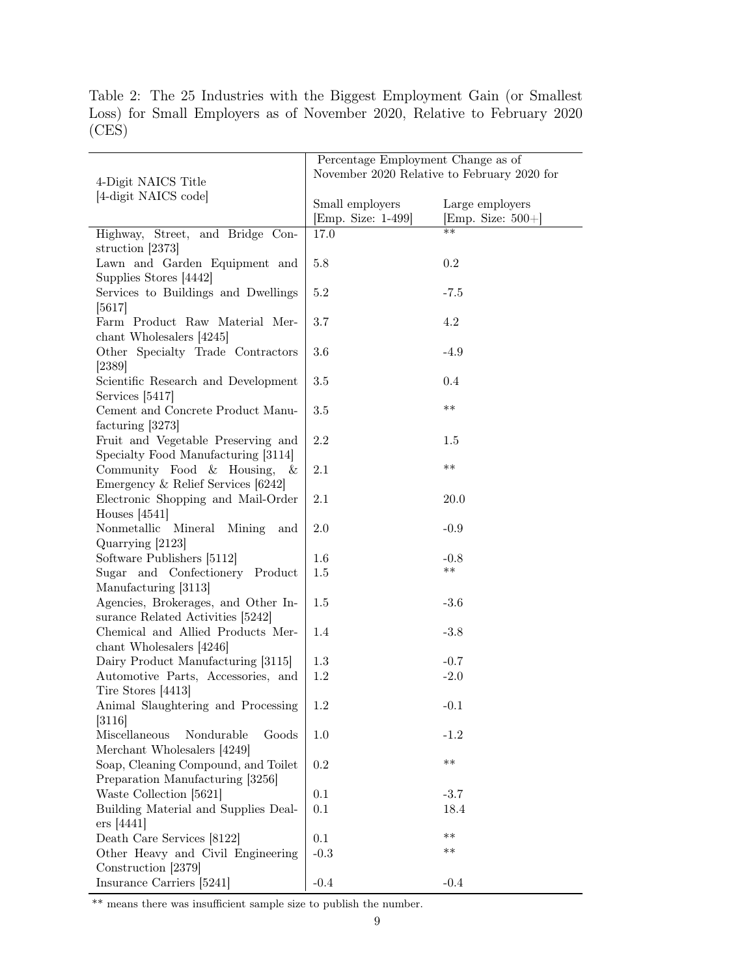|       |  | Table 2: The 25 Industries with the Biggest Employment Gain (or Smallest |  |  |  |  |
|-------|--|--------------------------------------------------------------------------|--|--|--|--|
|       |  | Loss) for Small Employers as of November 2020, Relative to February 2020 |  |  |  |  |
| (CES) |  |                                                                          |  |  |  |  |

|                                      | Percentage Employment Change as of          |                      |  |  |
|--------------------------------------|---------------------------------------------|----------------------|--|--|
|                                      | November 2020 Relative to February 2020 for |                      |  |  |
| 4-Digit NAICS Title                  |                                             |                      |  |  |
| [4-digit NAICS code]                 | Small employers                             | Large employers      |  |  |
|                                      | [Emp. Size: 1-499]                          | [Emp. Size: $500+$ ] |  |  |
| Highway, Street, and Bridge Con-     | 17.0                                        | $**$                 |  |  |
| struction [2373]                     |                                             |                      |  |  |
| Lawn and Garden Equipment and        | $5.8\,$                                     | $0.2\,$              |  |  |
| Supplies Stores [4442]               |                                             |                      |  |  |
| Services to Buildings and Dwellings  | $5.2\,$                                     | $-7.5$               |  |  |
| [5617]                               |                                             |                      |  |  |
| Farm Product Raw Material Mer-       | $3.7\,$                                     | 4.2                  |  |  |
| chant Wholesalers [4245]             |                                             |                      |  |  |
| Other Specialty Trade Contractors    | $3.6\,$                                     | $-4.9$               |  |  |
| [2389]                               |                                             |                      |  |  |
| Scientific Research and Development  | $3.5\,$                                     | $0.4\,$              |  |  |
| Services [5417]                      |                                             |                      |  |  |
| Cement and Concrete Product Manu-    | $3.5\,$                                     | $***$                |  |  |
| facturing [3273]                     |                                             |                      |  |  |
| Fruit and Vegetable Preserving and   | $2.2\,$                                     | 1.5                  |  |  |
| Specialty Food Manufacturing [3114]  |                                             |                      |  |  |
| Community Food & Housing,<br>- &     | 2.1                                         | $***$                |  |  |
| Emergency & Relief Services [6242]   |                                             |                      |  |  |
| Electronic Shopping and Mail-Order   | 2.1                                         | 20.0                 |  |  |
| Houses $[4541]$                      |                                             |                      |  |  |
| Nonmetallic Mineral<br>Mining<br>and | 2.0                                         | $-0.9$               |  |  |
| Quarrying [2123]                     |                                             |                      |  |  |
| Software Publishers [5112]           | 1.6                                         | $-0.8$               |  |  |
| Sugar and Confectionery Product      | 1.5                                         | $***$                |  |  |
| Manufacturing [3113]                 |                                             |                      |  |  |
| Agencies, Brokerages, and Other In-  | 1.5                                         | $-3.6$               |  |  |
| surance Related Activities [5242]    |                                             |                      |  |  |
| Chemical and Allied Products Mer-    | 1.4                                         | $-3.8$               |  |  |
| chant Wholesalers [4246]             |                                             |                      |  |  |
| Dairy Product Manufacturing [3115]   | 1.3                                         | $-0.7$               |  |  |
| Automotive Parts, Accessories, and   | 1.2                                         | $-2.0$               |  |  |
| Tire Stores [4413]                   |                                             |                      |  |  |
| Animal Slaughtering and Processing   | $1.2\,$                                     | $-0.1$               |  |  |
| $[3116]$                             |                                             |                      |  |  |
| Miscellaneous<br>Nondurable<br>Goods | 1.0                                         | $-1.2$               |  |  |
| Merchant Wholesalers [4249]          |                                             |                      |  |  |
| Soap, Cleaning Compound, and Toilet  | 0.2                                         | $***$                |  |  |
| Preparation Manufacturing [3256]     |                                             |                      |  |  |
| Waste Collection [5621]              | 0.1                                         | $-3.7$               |  |  |
| Building Material and Supplies Deal- | 0.1                                         | 18.4                 |  |  |
| $ers$ [4441]                         |                                             |                      |  |  |
| Death Care Services [8122]           | 0.1                                         | $***$                |  |  |
| Other Heavy and Civil Engineering    | $-0.3$                                      | $***$                |  |  |
| Construction [2379]                  |                                             |                      |  |  |
| Insurance Carriers [5241]            | $-0.4$                                      | $-0.4$               |  |  |
|                                      |                                             |                      |  |  |

\*\* means there was insufficient sample size to publish the number.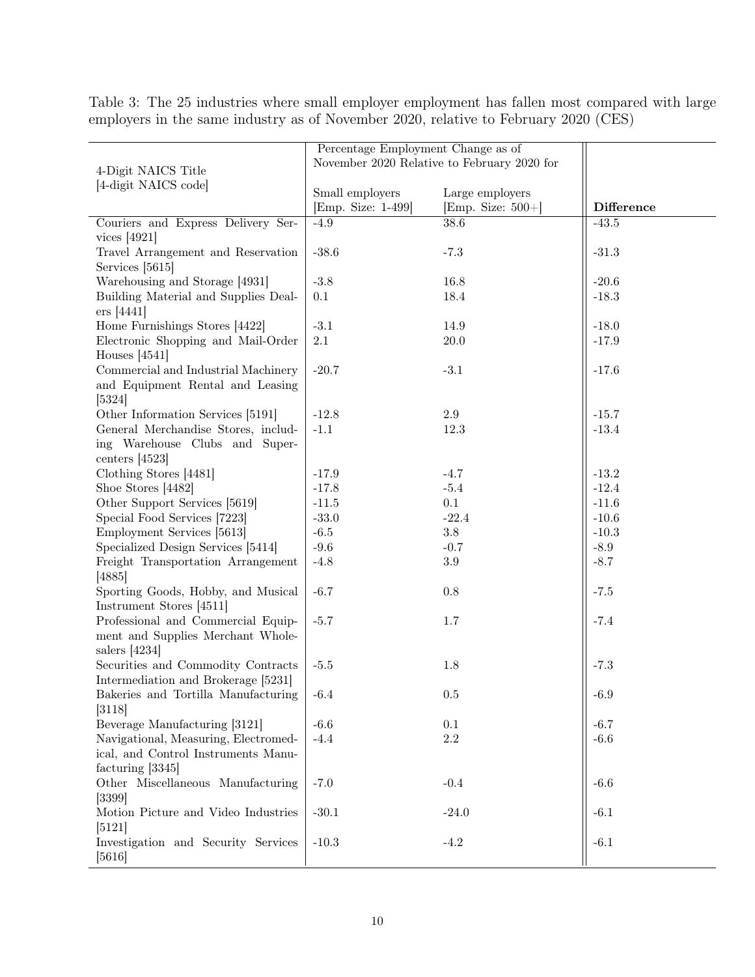| Percentage Employment Change as of<br>November 2020 Relative to February 2020 for<br>4-Digit NAICS Title<br>[4-digit NAICS code]<br>Small employers<br>Large employers<br>[Emp. Size: 1-499]<br>[Emp. Size: $500+$ ]<br><b>Difference</b><br>Couriers and Express Delivery Ser-<br>$-4.9$<br>$38.6\,$<br>$-43.5$<br>vices $[4921]$<br>Travel Arrangement and Reservation<br>$-38.6$<br>$-7.3$<br>$-31.3$<br>Services [5615]<br>Warehousing and Storage [4931]<br>$-3.8$<br>16.8<br>$-20.6$<br>Building Material and Supplies Deal-<br>0.1<br>18.4<br>$-18.3$<br>$ers$ [4441]<br>$-3.1$<br>Home Furnishings Stores [4422]<br>14.9<br>$-18.0$<br>Electronic Shopping and Mail-Order<br>$2.1\,$<br>20.0<br>$-17.9$<br>Houses $[4541]$<br>Commercial and Industrial Machinery<br>$-20.7$<br>$-3.1$<br>$-17.6$<br>and Equipment Rental and Leasing<br>[5324]<br>2.9<br>Other Information Services [5191]<br>$-12.8$<br>$-15.7$<br>General Merchandise Stores, includ-<br>$-1.1$<br>12.3<br>$-13.4$<br>ing Warehouse Clubs and Super-<br>centers $[4523]$<br>$-13.2$<br>Clothing Stores [4481]<br>$-17.9$<br>$-4.7$<br>$-12.4$<br>Shoe Stores [4482]<br>$-17.8$<br>$-5.4$<br>0.1<br>Other Support Services [5619]<br>$-11.5$<br>$-11.6$<br>Special Food Services [7223]<br>$-33.0$<br>$-22.4$<br>$-10.6$<br>$3.8\,$<br>Employment Services [5613]<br>$-6.5$<br>$-10.3$<br>Specialized Design Services [5414]<br>$-8.9$<br>$-9.6$<br>$-0.7$<br>Freight Transportation Arrangement<br>$3.9\,$<br>$-8.7$<br>$-4.8$<br>[4885]<br>Sporting Goods, Hobby, and Musical<br>$-6.7$<br>$0.8\,$<br>$-7.5$<br>Instrument Stores [4511]<br>Professional and Commercial Equip-<br>$-5.7$<br>$-7.4$<br>1.7 |                                   |  |  |  |
|---------------------------------------------------------------------------------------------------------------------------------------------------------------------------------------------------------------------------------------------------------------------------------------------------------------------------------------------------------------------------------------------------------------------------------------------------------------------------------------------------------------------------------------------------------------------------------------------------------------------------------------------------------------------------------------------------------------------------------------------------------------------------------------------------------------------------------------------------------------------------------------------------------------------------------------------------------------------------------------------------------------------------------------------------------------------------------------------------------------------------------------------------------------------------------------------------------------------------------------------------------------------------------------------------------------------------------------------------------------------------------------------------------------------------------------------------------------------------------------------------------------------------------------------------------------------------------------------------------------------------------------------------------------------------------------|-----------------------------------|--|--|--|
|                                                                                                                                                                                                                                                                                                                                                                                                                                                                                                                                                                                                                                                                                                                                                                                                                                                                                                                                                                                                                                                                                                                                                                                                                                                                                                                                                                                                                                                                                                                                                                                                                                                                                       |                                   |  |  |  |
|                                                                                                                                                                                                                                                                                                                                                                                                                                                                                                                                                                                                                                                                                                                                                                                                                                                                                                                                                                                                                                                                                                                                                                                                                                                                                                                                                                                                                                                                                                                                                                                                                                                                                       |                                   |  |  |  |
|                                                                                                                                                                                                                                                                                                                                                                                                                                                                                                                                                                                                                                                                                                                                                                                                                                                                                                                                                                                                                                                                                                                                                                                                                                                                                                                                                                                                                                                                                                                                                                                                                                                                                       |                                   |  |  |  |
|                                                                                                                                                                                                                                                                                                                                                                                                                                                                                                                                                                                                                                                                                                                                                                                                                                                                                                                                                                                                                                                                                                                                                                                                                                                                                                                                                                                                                                                                                                                                                                                                                                                                                       |                                   |  |  |  |
|                                                                                                                                                                                                                                                                                                                                                                                                                                                                                                                                                                                                                                                                                                                                                                                                                                                                                                                                                                                                                                                                                                                                                                                                                                                                                                                                                                                                                                                                                                                                                                                                                                                                                       |                                   |  |  |  |
|                                                                                                                                                                                                                                                                                                                                                                                                                                                                                                                                                                                                                                                                                                                                                                                                                                                                                                                                                                                                                                                                                                                                                                                                                                                                                                                                                                                                                                                                                                                                                                                                                                                                                       |                                   |  |  |  |
|                                                                                                                                                                                                                                                                                                                                                                                                                                                                                                                                                                                                                                                                                                                                                                                                                                                                                                                                                                                                                                                                                                                                                                                                                                                                                                                                                                                                                                                                                                                                                                                                                                                                                       |                                   |  |  |  |
|                                                                                                                                                                                                                                                                                                                                                                                                                                                                                                                                                                                                                                                                                                                                                                                                                                                                                                                                                                                                                                                                                                                                                                                                                                                                                                                                                                                                                                                                                                                                                                                                                                                                                       |                                   |  |  |  |
|                                                                                                                                                                                                                                                                                                                                                                                                                                                                                                                                                                                                                                                                                                                                                                                                                                                                                                                                                                                                                                                                                                                                                                                                                                                                                                                                                                                                                                                                                                                                                                                                                                                                                       |                                   |  |  |  |
|                                                                                                                                                                                                                                                                                                                                                                                                                                                                                                                                                                                                                                                                                                                                                                                                                                                                                                                                                                                                                                                                                                                                                                                                                                                                                                                                                                                                                                                                                                                                                                                                                                                                                       |                                   |  |  |  |
|                                                                                                                                                                                                                                                                                                                                                                                                                                                                                                                                                                                                                                                                                                                                                                                                                                                                                                                                                                                                                                                                                                                                                                                                                                                                                                                                                                                                                                                                                                                                                                                                                                                                                       |                                   |  |  |  |
|                                                                                                                                                                                                                                                                                                                                                                                                                                                                                                                                                                                                                                                                                                                                                                                                                                                                                                                                                                                                                                                                                                                                                                                                                                                                                                                                                                                                                                                                                                                                                                                                                                                                                       |                                   |  |  |  |
|                                                                                                                                                                                                                                                                                                                                                                                                                                                                                                                                                                                                                                                                                                                                                                                                                                                                                                                                                                                                                                                                                                                                                                                                                                                                                                                                                                                                                                                                                                                                                                                                                                                                                       |                                   |  |  |  |
|                                                                                                                                                                                                                                                                                                                                                                                                                                                                                                                                                                                                                                                                                                                                                                                                                                                                                                                                                                                                                                                                                                                                                                                                                                                                                                                                                                                                                                                                                                                                                                                                                                                                                       |                                   |  |  |  |
|                                                                                                                                                                                                                                                                                                                                                                                                                                                                                                                                                                                                                                                                                                                                                                                                                                                                                                                                                                                                                                                                                                                                                                                                                                                                                                                                                                                                                                                                                                                                                                                                                                                                                       |                                   |  |  |  |
|                                                                                                                                                                                                                                                                                                                                                                                                                                                                                                                                                                                                                                                                                                                                                                                                                                                                                                                                                                                                                                                                                                                                                                                                                                                                                                                                                                                                                                                                                                                                                                                                                                                                                       |                                   |  |  |  |
|                                                                                                                                                                                                                                                                                                                                                                                                                                                                                                                                                                                                                                                                                                                                                                                                                                                                                                                                                                                                                                                                                                                                                                                                                                                                                                                                                                                                                                                                                                                                                                                                                                                                                       |                                   |  |  |  |
|                                                                                                                                                                                                                                                                                                                                                                                                                                                                                                                                                                                                                                                                                                                                                                                                                                                                                                                                                                                                                                                                                                                                                                                                                                                                                                                                                                                                                                                                                                                                                                                                                                                                                       |                                   |  |  |  |
|                                                                                                                                                                                                                                                                                                                                                                                                                                                                                                                                                                                                                                                                                                                                                                                                                                                                                                                                                                                                                                                                                                                                                                                                                                                                                                                                                                                                                                                                                                                                                                                                                                                                                       |                                   |  |  |  |
|                                                                                                                                                                                                                                                                                                                                                                                                                                                                                                                                                                                                                                                                                                                                                                                                                                                                                                                                                                                                                                                                                                                                                                                                                                                                                                                                                                                                                                                                                                                                                                                                                                                                                       |                                   |  |  |  |
|                                                                                                                                                                                                                                                                                                                                                                                                                                                                                                                                                                                                                                                                                                                                                                                                                                                                                                                                                                                                                                                                                                                                                                                                                                                                                                                                                                                                                                                                                                                                                                                                                                                                                       |                                   |  |  |  |
|                                                                                                                                                                                                                                                                                                                                                                                                                                                                                                                                                                                                                                                                                                                                                                                                                                                                                                                                                                                                                                                                                                                                                                                                                                                                                                                                                                                                                                                                                                                                                                                                                                                                                       |                                   |  |  |  |
|                                                                                                                                                                                                                                                                                                                                                                                                                                                                                                                                                                                                                                                                                                                                                                                                                                                                                                                                                                                                                                                                                                                                                                                                                                                                                                                                                                                                                                                                                                                                                                                                                                                                                       |                                   |  |  |  |
|                                                                                                                                                                                                                                                                                                                                                                                                                                                                                                                                                                                                                                                                                                                                                                                                                                                                                                                                                                                                                                                                                                                                                                                                                                                                                                                                                                                                                                                                                                                                                                                                                                                                                       |                                   |  |  |  |
|                                                                                                                                                                                                                                                                                                                                                                                                                                                                                                                                                                                                                                                                                                                                                                                                                                                                                                                                                                                                                                                                                                                                                                                                                                                                                                                                                                                                                                                                                                                                                                                                                                                                                       |                                   |  |  |  |
|                                                                                                                                                                                                                                                                                                                                                                                                                                                                                                                                                                                                                                                                                                                                                                                                                                                                                                                                                                                                                                                                                                                                                                                                                                                                                                                                                                                                                                                                                                                                                                                                                                                                                       |                                   |  |  |  |
|                                                                                                                                                                                                                                                                                                                                                                                                                                                                                                                                                                                                                                                                                                                                                                                                                                                                                                                                                                                                                                                                                                                                                                                                                                                                                                                                                                                                                                                                                                                                                                                                                                                                                       |                                   |  |  |  |
|                                                                                                                                                                                                                                                                                                                                                                                                                                                                                                                                                                                                                                                                                                                                                                                                                                                                                                                                                                                                                                                                                                                                                                                                                                                                                                                                                                                                                                                                                                                                                                                                                                                                                       |                                   |  |  |  |
|                                                                                                                                                                                                                                                                                                                                                                                                                                                                                                                                                                                                                                                                                                                                                                                                                                                                                                                                                                                                                                                                                                                                                                                                                                                                                                                                                                                                                                                                                                                                                                                                                                                                                       |                                   |  |  |  |
|                                                                                                                                                                                                                                                                                                                                                                                                                                                                                                                                                                                                                                                                                                                                                                                                                                                                                                                                                                                                                                                                                                                                                                                                                                                                                                                                                                                                                                                                                                                                                                                                                                                                                       |                                   |  |  |  |
|                                                                                                                                                                                                                                                                                                                                                                                                                                                                                                                                                                                                                                                                                                                                                                                                                                                                                                                                                                                                                                                                                                                                                                                                                                                                                                                                                                                                                                                                                                                                                                                                                                                                                       |                                   |  |  |  |
|                                                                                                                                                                                                                                                                                                                                                                                                                                                                                                                                                                                                                                                                                                                                                                                                                                                                                                                                                                                                                                                                                                                                                                                                                                                                                                                                                                                                                                                                                                                                                                                                                                                                                       |                                   |  |  |  |
|                                                                                                                                                                                                                                                                                                                                                                                                                                                                                                                                                                                                                                                                                                                                                                                                                                                                                                                                                                                                                                                                                                                                                                                                                                                                                                                                                                                                                                                                                                                                                                                                                                                                                       |                                   |  |  |  |
|                                                                                                                                                                                                                                                                                                                                                                                                                                                                                                                                                                                                                                                                                                                                                                                                                                                                                                                                                                                                                                                                                                                                                                                                                                                                                                                                                                                                                                                                                                                                                                                                                                                                                       | ment and Supplies Merchant Whole- |  |  |  |
| salers $[4234]$                                                                                                                                                                                                                                                                                                                                                                                                                                                                                                                                                                                                                                                                                                                                                                                                                                                                                                                                                                                                                                                                                                                                                                                                                                                                                                                                                                                                                                                                                                                                                                                                                                                                       |                                   |  |  |  |
| Securities and Commodity Contracts<br>$-7.3$<br>$-5.5$<br>1.8                                                                                                                                                                                                                                                                                                                                                                                                                                                                                                                                                                                                                                                                                                                                                                                                                                                                                                                                                                                                                                                                                                                                                                                                                                                                                                                                                                                                                                                                                                                                                                                                                         |                                   |  |  |  |
| Intermediation and Brokerage [5231]                                                                                                                                                                                                                                                                                                                                                                                                                                                                                                                                                                                                                                                                                                                                                                                                                                                                                                                                                                                                                                                                                                                                                                                                                                                                                                                                                                                                                                                                                                                                                                                                                                                   |                                   |  |  |  |
| Bakeries and Tortilla Manufacturing<br>$0.5\,$<br>$-6.4$<br>$-6.9$                                                                                                                                                                                                                                                                                                                                                                                                                                                                                                                                                                                                                                                                                                                                                                                                                                                                                                                                                                                                                                                                                                                                                                                                                                                                                                                                                                                                                                                                                                                                                                                                                    |                                   |  |  |  |
| [3118]                                                                                                                                                                                                                                                                                                                                                                                                                                                                                                                                                                                                                                                                                                                                                                                                                                                                                                                                                                                                                                                                                                                                                                                                                                                                                                                                                                                                                                                                                                                                                                                                                                                                                |                                   |  |  |  |
| Beverage Manufacturing [3121]<br>0.1<br>$-6.6$<br>$-6.7$                                                                                                                                                                                                                                                                                                                                                                                                                                                                                                                                                                                                                                                                                                                                                                                                                                                                                                                                                                                                                                                                                                                                                                                                                                                                                                                                                                                                                                                                                                                                                                                                                              |                                   |  |  |  |
| Navigational, Measuring, Electromed-<br>$2.2\,$<br>$-4.4$<br>$-6.6$                                                                                                                                                                                                                                                                                                                                                                                                                                                                                                                                                                                                                                                                                                                                                                                                                                                                                                                                                                                                                                                                                                                                                                                                                                                                                                                                                                                                                                                                                                                                                                                                                   |                                   |  |  |  |
| ical, and Control Instruments Manu-                                                                                                                                                                                                                                                                                                                                                                                                                                                                                                                                                                                                                                                                                                                                                                                                                                                                                                                                                                                                                                                                                                                                                                                                                                                                                                                                                                                                                                                                                                                                                                                                                                                   |                                   |  |  |  |
| facturing [3345]                                                                                                                                                                                                                                                                                                                                                                                                                                                                                                                                                                                                                                                                                                                                                                                                                                                                                                                                                                                                                                                                                                                                                                                                                                                                                                                                                                                                                                                                                                                                                                                                                                                                      |                                   |  |  |  |
| Other Miscellaneous Manufacturing<br>$-7.0$<br>$-0.4$<br>$-6.6$                                                                                                                                                                                                                                                                                                                                                                                                                                                                                                                                                                                                                                                                                                                                                                                                                                                                                                                                                                                                                                                                                                                                                                                                                                                                                                                                                                                                                                                                                                                                                                                                                       |                                   |  |  |  |
| [3399]                                                                                                                                                                                                                                                                                                                                                                                                                                                                                                                                                                                                                                                                                                                                                                                                                                                                                                                                                                                                                                                                                                                                                                                                                                                                                                                                                                                                                                                                                                                                                                                                                                                                                |                                   |  |  |  |
| Motion Picture and Video Industries<br>$-30.1$<br>$-24.0$<br>$-6.1$                                                                                                                                                                                                                                                                                                                                                                                                                                                                                                                                                                                                                                                                                                                                                                                                                                                                                                                                                                                                                                                                                                                                                                                                                                                                                                                                                                                                                                                                                                                                                                                                                   |                                   |  |  |  |
| [5121]                                                                                                                                                                                                                                                                                                                                                                                                                                                                                                                                                                                                                                                                                                                                                                                                                                                                                                                                                                                                                                                                                                                                                                                                                                                                                                                                                                                                                                                                                                                                                                                                                                                                                |                                   |  |  |  |
| Investigation and Security Services<br>$-10.3$<br>$-4.2$<br>$-6.1$                                                                                                                                                                                                                                                                                                                                                                                                                                                                                                                                                                                                                                                                                                                                                                                                                                                                                                                                                                                                                                                                                                                                                                                                                                                                                                                                                                                                                                                                                                                                                                                                                    |                                   |  |  |  |
| $[5616]$                                                                                                                                                                                                                                                                                                                                                                                                                                                                                                                                                                                                                                                                                                                                                                                                                                                                                                                                                                                                                                                                                                                                                                                                                                                                                                                                                                                                                                                                                                                                                                                                                                                                              |                                   |  |  |  |

Table 3: The 25 industries where small employer employment has fallen most compared with large employers in the same industry as of November 2020, relative to February 2020 (CES)